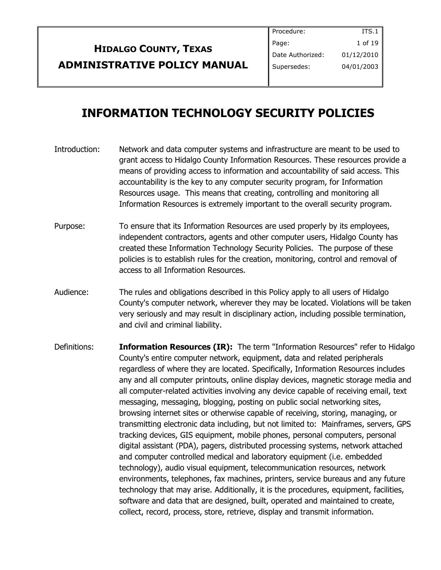| <b>HIDALGO COUNTY, TEXAS</b>        |
|-------------------------------------|
| <b>ADMINISTRATIVE POLICY MANUAL</b> |

# **INFORMATION TECHNOLOGY SECURITY POLICIES**

- Introduction: Network and data computer systems and infrastructure are meant to be used to grant access to Hidalgo County Information Resources. These resources provide a means of providing access to information and accountability of said access. This accountability is the key to any computer security program, for Information Resources usage. This means that creating, controlling and monitoring all Information Resources is extremely important to the overall security program.
- Purpose: To ensure that its Information Resources are used properly by its employees, independent contractors, agents and other computer users, Hidalgo County has created these Information Technology Security Policies. The purpose of these policies is to establish rules for the creation, monitoring, control and removal of access to all Information Resources.
- Audience: The rules and obligations described in this Policy apply to all users of Hidalgo County's computer network, wherever they may be located. Violations will be taken very seriously and may result in disciplinary action, including possible termination, and civil and criminal liability.
- Definitions: **Information Resources (IR):** The term "Information Resources" refer to Hidalgo County's entire computer network, equipment, data and related peripherals regardless of where they are located. Specifically, Information Resources includes any and all computer printouts, online display devices, magnetic storage media and all computer-related activities involving any device capable of receiving email, text messaging, messaging, blogging, posting on public social networking sites, browsing internet sites or otherwise capable of receiving, storing, managing, or transmitting electronic data including, but not limited to: Mainframes, servers, GPS tracking devices, GIS equipment, mobile phones, personal computers, personal digital assistant (PDA), pagers, distributed processing systems, network attached and computer controlled medical and laboratory equipment (i.e. embedded technology), audio visual equipment, telecommunication resources, network environments, telephones, fax machines, printers, service bureaus and any future technology that may arise. Additionally, it is the procedures, equipment, facilities, software and data that are designed, built, operated and maintained to create, collect, record, process, store, retrieve, display and transmit information.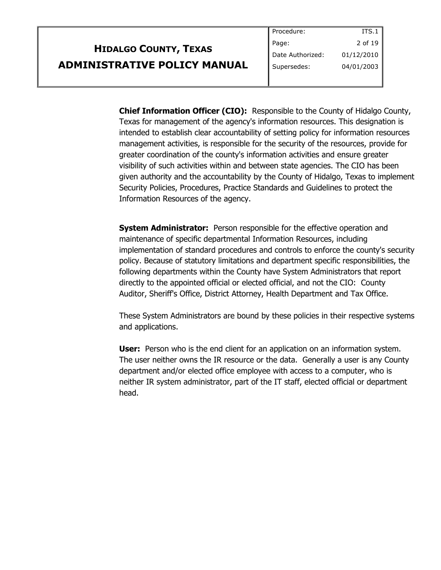|                                     | ∥ Procedure:     | 113.1           |
|-------------------------------------|------------------|-----------------|
| <b>HIDALGO COUNTY, TEXAS</b>        | Page:            | 2 of 19 $\vert$ |
|                                     | Date Authorized: | 01/12/2010      |
| <b>ADMINISTRATIVE POLICY MANUAL</b> | Supersedes:      | 04/01/2003      |
|                                     |                  |                 |

**Chief Information Officer (CIO):** Responsible to the County of Hidalgo County, Texas for management of the agency's information resources. This designation is intended to establish clear accountability of setting policy for information resources management activities, is responsible for the security of the resources, provide for greater coordination of the county's information activities and ensure greater visibility of such activities within and between state agencies. The CIO has been given authority and the accountability by the County of Hidalgo, Texas to implement Security Policies, Procedures, Practice Standards and Guidelines to protect the Information Resources of the agency.

Procedure:

 $T_{T}$ 

**System Administrator:** Person responsible for the effective operation and maintenance of specific departmental Information Resources, including implementation of standard procedures and controls to enforce the county's security policy. Because of statutory limitations and department specific responsibilities, the following departments within the County have System Administrators that report directly to the appointed official or elected official, and not the CIO: County Auditor, Sheriff's Office, District Attorney, Health Department and Tax Office.

These System Administrators are bound by these policies in their respective systems and applications.

**User:** Person who is the end client for an application on an information system. The user neither owns the IR resource or the data. Generally a user is any County department and/or elected office employee with access to a computer, who is neither IR system administrator, part of the IT staff, elected official or department head.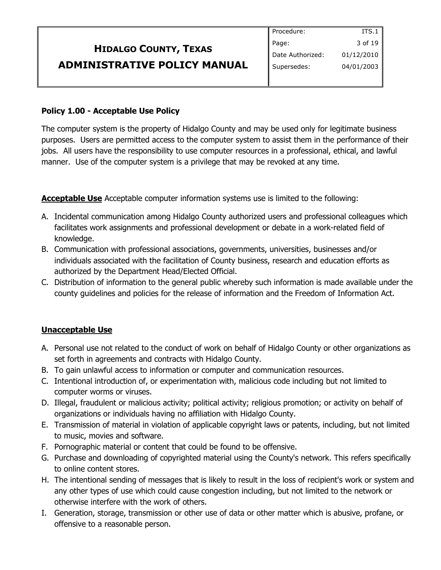|                                     | Procedure:       | ITS.1      |
|-------------------------------------|------------------|------------|
| <b>HIDALGO COUNTY, TEXAS</b>        | Page:            | 3 of 19    |
|                                     | Date Authorized: | 01/12/2010 |
| <b>ADMINISTRATIVE POLICY MANUAL</b> | Supersedes:      | 04/01/2003 |
|                                     |                  |            |

#### **Policy 1.00 - Acceptable Use Policy**

The computer system is the property of Hidalgo County and may be used only for legitimate business purposes. Users are permitted access to the computer system to assist them in the performance of their jobs. All users have the responsibility to use computer resources in a professional, ethical, and lawful manner. Use of the computer system is a privilege that may be revoked at any time.

**Acceptable Use** Acceptable computer information systems use is limited to the following:

- A. Incidental communication among Hidalgo County authorized users and professional colleagues which facilitates work assignments and professional development or debate in a work-related field of knowledge.
- B. Communication with professional associations, governments, universities, businesses and/or individuals associated with the facilitation of County business, research and education efforts as authorized by the Department Head/Elected Official.
- C. Distribution of information to the general public whereby such information is made available under the county guidelines and policies for the release of information and the Freedom of Information Act.

### **Unacceptable Use**

- A. Personal use not related to the conduct of work on behalf of Hidalgo County or other organizations as set forth in agreements and contracts with Hidalgo County.
- B. To gain unlawful access to information or computer and communication resources.
- C. Intentional introduction of, or experimentation with, malicious code including but not limited to computer worms or viruses.
- D. Illegal, fraudulent or malicious activity; political activity; religious promotion; or activity on behalf of organizations or individuals having no affiliation with Hidalgo County.
- E. Transmission of material in violation of applicable copyright laws or patents, including, but not limited to music, movies and software.
- F. Pornographic material or content that could be found to be offensive.
- G. Purchase and downloading of copyrighted material using the County's network. This refers specifically to online content stores.
- H. The intentional sending of messages that is likely to result in the loss of recipient's work or system and any other types of use which could cause congestion including, but not limited to the network or otherwise interfere with the work of others.
- I. Generation, storage, transmission or other use of data or other matter which is abusive, profane, or offensive to a reasonable person.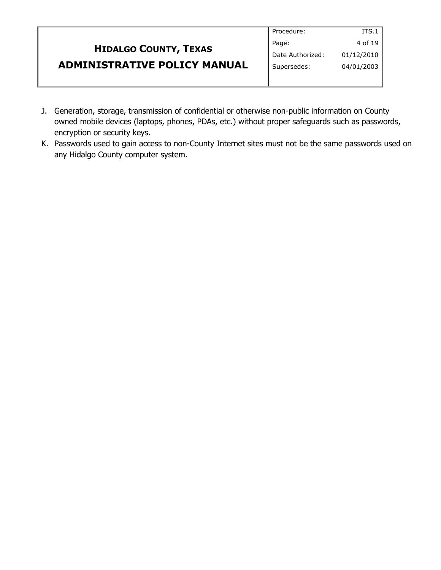|                                     | Procedure:       | ITS.1 $\parallel$ |
|-------------------------------------|------------------|-------------------|
| <b>HIDALGO COUNTY, TEXAS</b>        | Page:            | 4 of 19           |
|                                     | Date Authorized: | 01/12/2010        |
| <b>ADMINISTRATIVE POLICY MANUAL</b> | Supersedes:      | 04/01/2003        |
|                                     |                  |                   |

- J. Generation, storage, transmission of confidential or otherwise non-public information on County owned mobile devices (laptops, phones, PDAs, etc.) without proper safeguards such as passwords, encryption or security keys.
- K. Passwords used to gain access to non-County Internet sites must not be the same passwords used on any Hidalgo County computer system.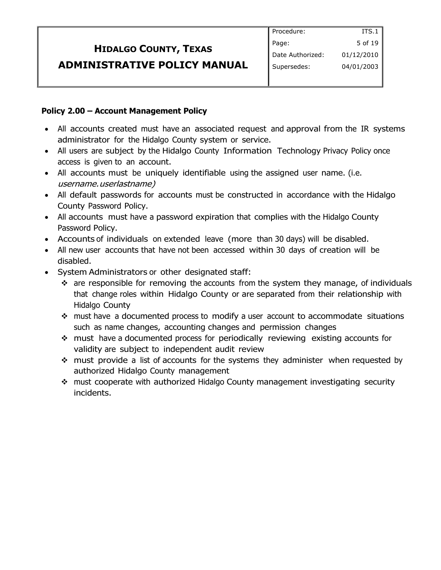### **Policy 2.00 – Account Management Policy**

- All accounts created must have an associated request and approval from the IR systems administrator for the Hidalgo County system or service.
- All users are subject by the Hidalgo County Information Technology Privacy Policy once access is given to an account.
- All accounts must be uniquely identifiable using the assigned user name. (i.e. username.userlastname)
- All default passwords for accounts must be constructed in accordance with the Hidalgo County Password Policy.
- All accounts must have a password expiration that complies with the Hidalgo County Password Policy.
- Accounts of individuals on extended leave (more than 30 days) will be disabled.
- All new user accounts that have not been accessed within 30 days of creation will be disabled.
- System Administrators or other designated staff:
	- $\cdot \cdot$  are responsible for removing the accounts from the system they manage, of individuals that change roles within Hidalgo County or are separated from their relationship with Hidalgo County
	- must have a documented process to modify a user account to accommodate situations such as name changes, accounting changes and permission changes
	- must have a documented process for periodically reviewing existing accounts for validity are subject to independent audit review
	- must provide a list of accounts for the systems they administer when requested by authorized Hidalgo County management
	- \* must cooperate with authorized Hidalgo County management investigating security incidents.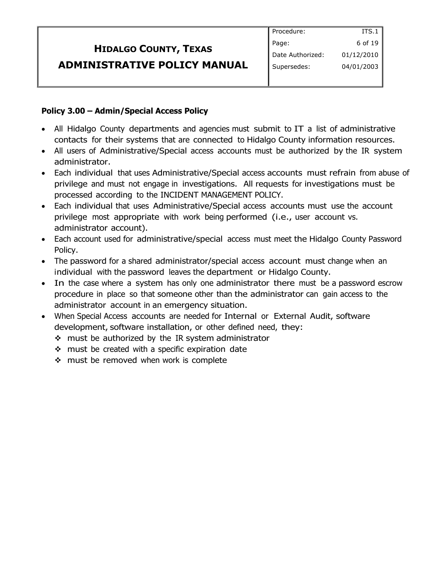#### **Policy 3.00 – Admin/Special Access Policy**

- All Hidalgo County departments and agencies must submit to IT a list of administrative contacts for their systems that are connected to Hidalgo County information resources.
- All users of Administrative/Special access accounts must be authorized by the IR system administrator.
- Each individual that uses Administrative/Special access accounts must refrain from abuse of privilege and must not engage in investigations. All requests for investigations must be processed according to the INCIDENT MANAGEMENT POLICY.
- Each individual that uses Administrative/Special access accounts must use the account privilege most appropriate with work being performed (i.e., user account vs. administrator account).
- Each account used for administrative/special access must meet the Hidalgo County Password Policy.
- The password for a shared administrator/special access account must change when an individual with the password leaves the department or Hidalgo County.
- In the case where a system has only one administrator there must be a password escrow procedure in place so that someone other than the administrator can gain access to the administrator account in an emergency situation.
- When Special Access accounts are needed for Internal or External Audit, software development, software installation, or other defined need, they:
	- $\div$  must be authorized by the IR system administrator
	- $\div$  must be created with a specific expiration date
	- \* must be removed when work is complete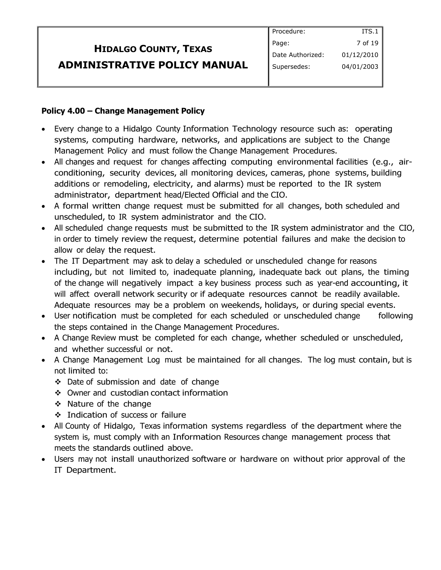#### **Policy 4.00 – Change Management Policy**

- Every change to a Hidalgo County Information Technology resource such as: operating systems, computing hardware, networks, and applications are subject to the Change Management Policy and must follow the Change Management Procedures.
- All changes and request for changes affecting computing environmental facilities (e.g., airconditioning, security devices, all monitoring devices, cameras, phone systems, building additions or remodeling, electricity, and alarms) must be reported to the IR system administrator, department head/Elected Official and the CIO.
- A formal written change request must be submitted for all changes, both scheduled and unscheduled, to IR system administrator and the CIO.
- All scheduled change requests must be submitted to the IR system administrator and the CIO, in order to timely review the request, determine potential failures and make the decision to allow or delay the request.
- The IT Department may ask to delay a scheduled or unscheduled change for reasons including, but not limited to, inadequate planning, inadequate back out plans, the timing of the change will negatively impact a key business process such as year-end accounting, it will affect overall network security or if adequate resources cannot be readily available. Adequate resources may be a problem on weekends, holidays, or during special events.
- User notification must be completed for each scheduled or unscheduled change following the steps contained in the Change Management Procedures.
- A Change Review must be completed for each change, whether scheduled or unscheduled, and whether successful or not.
- A Change Management Log must be maintained for all changes. The log must contain, but is not limited to:
	- Date of submission and date of change
	- Owner and custodian contact information
	- \* Nature of the change
	- Indication of success or failure
- All County of Hidalgo, Texas information systems regardless of the department where the system is, must comply with an Information Resources change management process that meets the standards outlined above.
- Users may not install unauthorized software or hardware on without prior approval of the IT Department.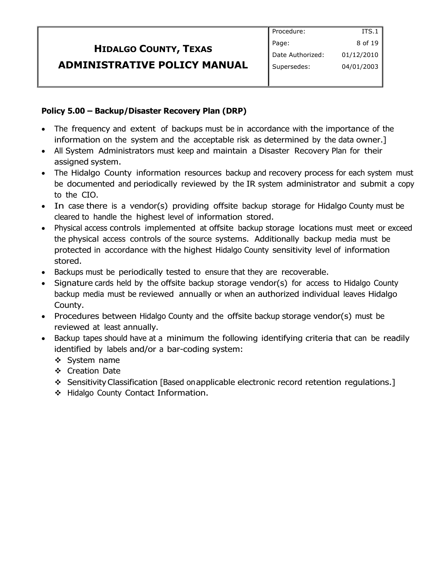### **Policy 5.00 – Backup/Disaster Recovery Plan (DRP)**

- The frequency and extent of backups must be in accordance with the importance of the information on the system and the acceptable risk as determined by the data owner.]
- All System Administrators must keep and maintain a Disaster Recovery Plan for their assigned system.
- The Hidalgo County information resources backup and recovery process for each system must be documented and periodically reviewed by the IR system administrator and submit a copy to the CIO.
- In case there is a vendor(s) providing offsite backup storage for Hidalgo County must be cleared to handle the highest level of information stored.
- Physical access controls implemented at offsite backup storage locations must meet or exceed the physical access controls of the source systems. Additionally backup media must be protected in accordance with the highest Hidalgo County sensitivity level of information stored.
- Backups must be periodically tested to ensure that they are recoverable.
- Signature cards held by the offsite backup storage vendor(s) for access to Hidalgo County backup media must be reviewed annually or when an authorized individual leaves Hidalgo County.
- Procedures between Hidalgo County and the offsite backup storage vendor(s) must be reviewed at least annually.
- Backup tapes should have at a minimum the following identifying criteria that can be readily identified by labels and/or a bar-coding system:
	- ❖ System name
	- Creation Date
	- \* Sensitivity Classification [Based onapplicable electronic record retention regulations.]
	- ◆ Hidalgo County Contact Information.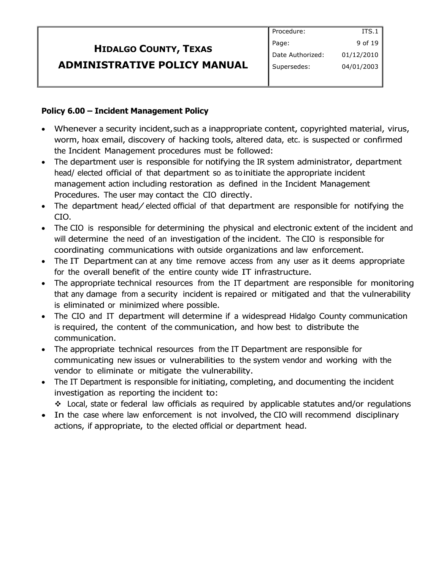#### **Policy 6.00 – Incident Management Policy**

- Whenever a security incident, such as a inappropriate content, copyrighted material, virus, worm, hoax email, discovery of hacking tools, altered data, etc. is suspected or confirmed the Incident Management procedures must be followed:
- The department user is responsible for notifying the IR system administrator, department head/ elected official of that department so as to initiate the appropriate incident management action including restoration as defined in the Incident Management Procedures. The user may contact the CIO directly.
- The department head/ elected official of that department are responsible for notifying the CIO.
- The CIO is responsible for determining the physical and electronic extent of the incident and will determine the need of an investigation of the incident. The CIO is responsible for coordinating communications with outside organizations and law enforcement.
- The IT Department can at any time remove access from any user as it deems appropriate for the overall benefit of the entire county wide IT infrastructure.
- The appropriate technical resources from the IT department are responsible for monitoring that any damage from a security incident is repaired or mitigated and that the vulnerability is eliminated or minimized where possible.
- The CIO and IT department will determine if a widespread Hidalgo County communication is required, the content of the communication, and how best to distribute the communication.
- The appropriate technical resources from the IT Department are responsible for communicating new issues or vulnerabilities to the system vendor and working with the vendor to eliminate or mitigate the vulnerability.
- The IT Department is responsible for initiating, completing, and documenting the incident investigation as reporting the incident to:
	- Local, state or federal law officials as required by applicable statutes and/or regulations
- In the case where law enforcement is not involved, the CIO will recommend disciplinary actions, if appropriate, to the elected official or department head.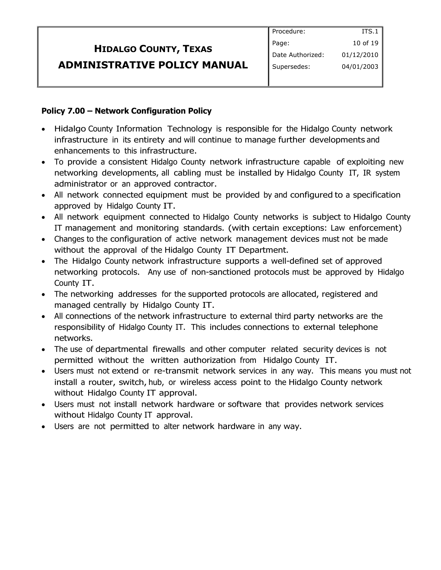### **Policy 7.00 – Network Configuration Policy**

- Hidalgo County Information Technology is responsible for the Hidalgo County network infrastructure in its entirety and will continue to manage further developments and enhancements to this infrastructure.
- To provide a consistent Hidalgo County network infrastructure capable of exploiting new networking developments, all cabling must be installed by Hidalgo County IT, IR system administrator or an approved contractor.
- All network connected equipment must be provided by and configured to a specification approved by Hidalgo County IT.
- All network equipment connected to Hidalgo County networks is subject to Hidalgo County IT management and monitoring standards. (with certain exceptions: Law enforcement)
- Changes to the configuration of active network management devices must not be made without the approval of the Hidalgo County IT Department.
- The Hidalgo County network infrastructure supports a well-defined set of approved networking protocols. Any use of non-sanctioned protocols must be approved by Hidalgo County IT.
- The networking addresses for the supported protocols are allocated, registered and managed centrally by Hidalgo County IT.
- All connections of the network infrastructure to external third party networks are the responsibility of Hidalgo County IT. This includes connections to external telephone networks.
- The use of departmental firewalls and other computer related security devices is not permitted without the written authorization from Hidalgo County IT.
- Users must not extend or re-transmit network services in any way. This means you must not install a router, switch, hub, or wireless access point to the Hidalgo County network without Hidalgo County IT approval.
- Users must not install network hardware or software that provides network services without Hidalgo County IT approval.
- Users are not permitted to alter network hardware in any way.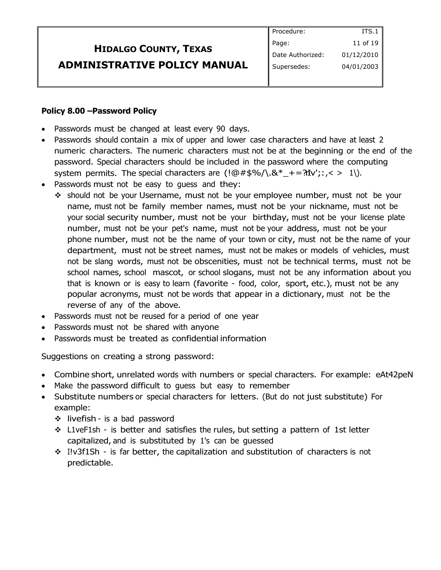| <b>HIDALGO COUNTY, TEXAS</b> | Page:            |
|------------------------------|------------------|
|                              | Date Authorized: |
| ADMINISTRATIVE POLICY MANUAL | Supersedes:      |

#### **Policy 8.00 –Password Policy**

- Passwords must be changed at least every 90 days.
- Passwords should contain a mix of upper and lower case characters and have at least 2 numeric characters. The numeric characters must not be at the beginning or the end of the password. Special characters should be included in the password where the computing system permits. The special characters are  $(\mathcal{Q} \# \mathcal{S} \mathcal{S} / \mathcal{S} \mathcal{S}^* \to \mathcal{S} \mathcal{S} \mathcal{S} \mathcal{S} \mathcal{S}^* \to \mathcal{S} \mathcal{S} \mathcal{S} \mathcal{S} \mathcal{S}^* \mathcal{S} \mathcal{S}^* \mathcal{S} \mathcal{S} \mathcal{S} \mathcal{S} \mathcal{S} \mathcal{S} \mathcal{S} \mathcal{S} \mathcal{S} \mathcal{S}$

Procedure:

ITS.1 11 of 19 01/12/2010 04/01/2003

- Passwords must not be easy to quess and they:
	- should not be your Username, must not be your employee number, must not be your name, must not be family member names, must not be your nickname, must not be your social security number, must not be your birthday, must not be your license plate number, must not be your pet's name, must not be your address, must not be your phone number, must not be the name of your town or city, must not be the name of your department, must not be street names, must not be makes or models of vehicles, must not be slang words, must not be obscenities, must not be technical terms, must not be school names, school mascot, or school slogans, must not be any information about you that is known or is easy to learn (favorite - food, color, sport, etc.), must not be any popular acronyms, must not be words that appear in a dictionary, must not be the reverse of any of the above.
- Passwords must not be reused for a period of one year
- Passwords must not be shared with anyone
- Passwords must be treated as confidential information

Suggestions on creating a strong password:

- Combine short, unrelated words with numbers or special characters. For example: eAt42peN
- Make the password difficult to guess but easy to remember
- Substitute numbers or special characters for letters. (But do not just substitute) For example:
	- $\cdot$  livefish is a bad password
	- $\div$  L1veF1sh is better and satisfies the rules, but setting a pattern of 1st letter capitalized, and is substituted by 1's can be guessed
	- $\div$  I!v3f1Sh is far better, the capitalization and substitution of characters is not predictable.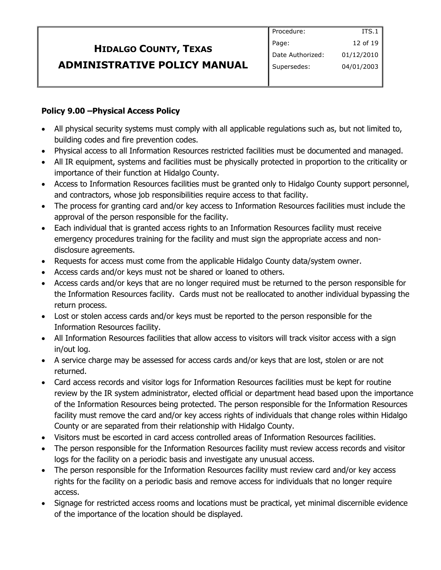### **Policy 9.00 –Physical Access Policy**

- All physical security systems must comply with all applicable regulations such as, but not limited to, building codes and fire prevention codes.
- Physical access to all Information Resources restricted facilities must be documented and managed.
- All IR equipment, systems and facilities must be physically protected in proportion to the criticality or importance of their function at Hidalgo County.
- Access to Information Resources facilities must be granted only to Hidalgo County support personnel, and contractors, whose job responsibilities require access to that facility.
- The process for granting card and/or key access to Information Resources facilities must include the approval of the person responsible for the facility.
- Each individual that is granted access rights to an Information Resources facility must receive emergency procedures training for the facility and must sign the appropriate access and nondisclosure agreements.
- Requests for access must come from the applicable Hidalgo County data/system owner.
- Access cards and/or keys must not be shared or loaned to others.
- Access cards and/or keys that are no longer required must be returned to the person responsible for the Information Resources facility. Cards must not be reallocated to another individual bypassing the return process.
- Lost or stolen access cards and/or keys must be reported to the person responsible for the Information Resources facility.
- All Information Resources facilities that allow access to visitors will track visitor access with a sign in/out log.
- A service charge may be assessed for access cards and/or keys that are lost, stolen or are not returned.
- Card access records and visitor logs for Information Resources facilities must be kept for routine review by the IR system administrator, elected official or department head based upon the importance of the Information Resources being protected. The person responsible for the Information Resources facility must remove the card and/or key access rights of individuals that change roles within Hidalgo County or are separated from their relationship with Hidalgo County.
- Visitors must be escorted in card access controlled areas of Information Resources facilities.
- The person responsible for the Information Resources facility must review access records and visitor logs for the facility on a periodic basis and investigate any unusual access.
- The person responsible for the Information Resources facility must review card and/or key access rights for the facility on a periodic basis and remove access for individuals that no longer require access.
- Signage for restricted access rooms and locations must be practical, yet minimal discernible evidence of the importance of the location should be displayed.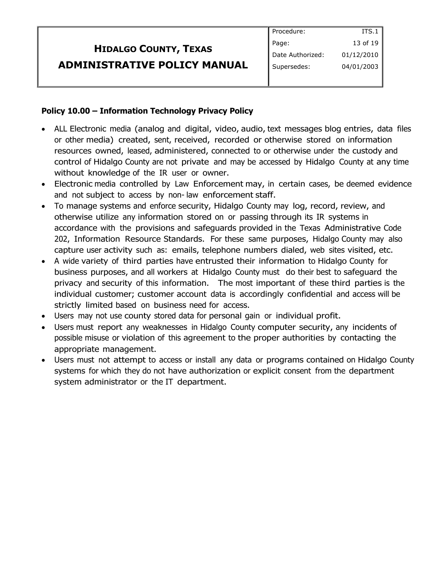|                                     | Procedure:       | ITS.1      |
|-------------------------------------|------------------|------------|
| <b>HIDALGO COUNTY, TEXAS</b>        | Page:            | 13 of 19   |
|                                     | Date Authorized: | 01/12/2010 |
| <b>ADMINISTRATIVE POLICY MANUAL</b> | Supersedes:      | 04/01/2003 |
|                                     |                  |            |

#### **Policy 10.00 – Information Technology Privacy Policy**

- ALL Electronic media (analog and digital, video, audio, text messages blog entries, data files or other media) created, sent, received, recorded or otherwise stored on information resources owned, leased, administered, connected to or otherwise under the custody and control of Hidalgo County are not private and may be accessed by Hidalgo County at any time without knowledge of the IR user or owner.
- Electronic media controlled by Law Enforcement may, in certain cases, be deemed evidence and not subject to access by non- law enforcement staff.
- To manage systems and enforce security, Hidalgo County may log, record, review, and otherwise utilize any information stored on or passing through its IR systems in accordance with the provisions and safeguards provided in the Texas Administrative Code 202, Information Resource Standards. For these same purposes, Hidalgo County may also capture user activity such as: emails, telephone numbers dialed, web sites visited, etc.
- A wide variety of third parties have entrusted their information to Hidalgo County for business purposes, and all workers at Hidalgo County must do their best to safeguard the privacy and security of this information. The most important of these third parties is the individual customer; customer account data is accordingly confidential and access will be strictly limited based on business need for access.
- Users may not use county stored data for personal gain or individual profit.
- Users must report any weaknesses in Hidalgo County computer security, any incidents of possible misuse or violation of this agreement to the proper authorities by contacting the appropriate management.
- Users must not attempt to access or install any data or programs contained on Hidalgo County systems for which they do not have authorization or explicit consent from the department system administrator or the IT department.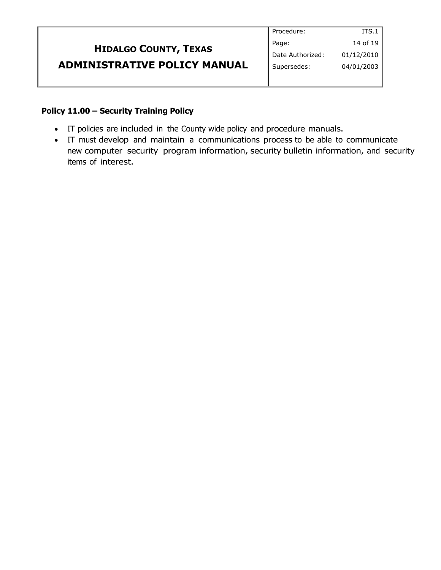|                                     | Procedure:       | ITS.1      |
|-------------------------------------|------------------|------------|
| <b>HIDALGO COUNTY, TEXAS</b>        | Page:            | 14 of 19   |
|                                     | Date Authorized: | 01/12/2010 |
| <b>ADMINISTRATIVE POLICY MANUAL</b> | Supersedes:      | 04/01/2003 |
|                                     |                  |            |

#### **Policy 11.00 – Security Training Policy**

- IT policies are included in the County wide policy and procedure manuals.
- IT must develop and maintain a communications process to be able to communicate new computer security program information, security bulletin information, and security items of interest.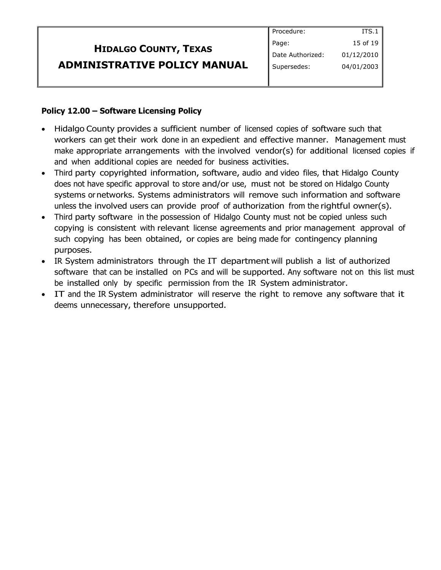| <b>HIDALGO COUNTY, TEXAS</b>        |
|-------------------------------------|
| <b>ADMINISTRATIVE POLICY MANUAL</b> |

#### **Policy 12.00 – Software Licensing Policy**

- Hidalgo County provides a sufficient number of licensed copies of software such that workers can get their work done in an expedient and effective manner. Management must make appropriate arrangements with the involved vendor(s) for additional licensed copies if and when additional copies are needed for business activities.
- Third party copyrighted information, software, audio and video files, that Hidalgo County does not have specific approval to store and/or use, must not be stored on Hidalgo County systems or networks. Systems administrators will remove such information and software unless the involved users can provide proof of authorization from the rightful owner(s).
- Third party software in the possession of Hidalgo County must not be copied unless such copying is consistent with relevant license agreements and prior management approval of such copying has been obtained, or copies are being made for contingency planning purposes.
- IR System administrators through the IT department will publish a list of authorized software that can be installed on PCs and will be supported. Any software not on this list must be installed only by specific permission from the IR System administrator.
- IT and the IR System administrator will reserve the right to remove any software that it deems unnecessary, therefore unsupported.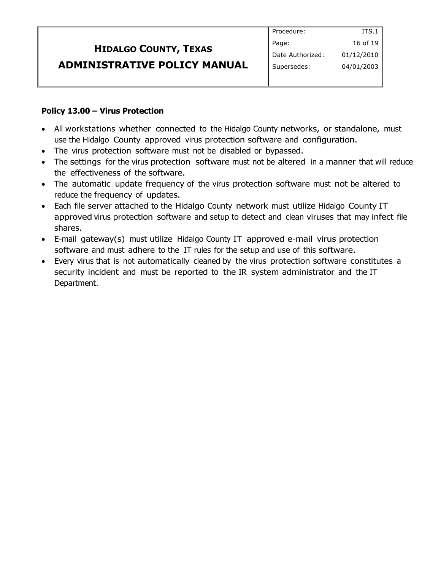| <b>HIDALGO COUNTY, TEXAS</b>        | Page:            |
|-------------------------------------|------------------|
|                                     | Date Authorized: |
| <b>ADMINISTRATIVE POLICY MANUAL</b> | Supersedes:      |
|                                     |                  |

#### **Policy 13.00 – Virus Protection**

ľ

• All workstations whether connected to the Hidalgo County networks, or standalone, must use the Hidalgo County approved virus protection software and configuration.

Procedure:

ITS.1 16 of 19 01/12/2010 04/01/2003

- The virus protection software must not be disabled or bypassed.
- The settings for the virus protection software must not be altered in a manner that will reduce the effectiveness of the software.
- The automatic update frequency of the virus protection software must not be altered to reduce the frequency of updates.
- Each file server attached to the Hidalgo County network must utilize Hidalgo County IT approved virus protection software and setup to detect and clean viruses that may infect file shares.
- E-mail gateway(s) must utilize Hidalgo County IT approved e-mail virus protection software and must adhere to the IT rules for the setup and use of this software.
- Every virus that is not automatically cleaned by the virus protection software constitutes a security incident and must be reported to the IR system administrator and the IT Department.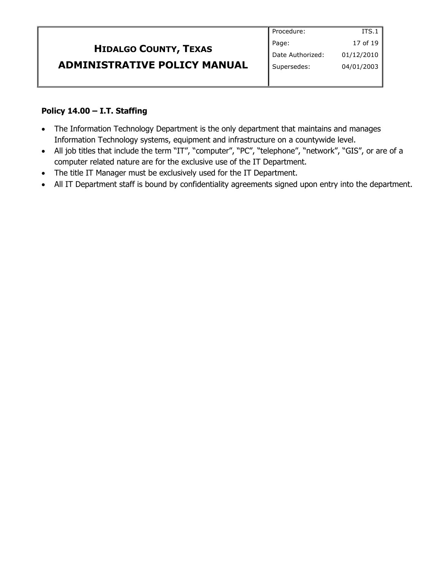|                                     | Procedure:       | ITS.1        |
|-------------------------------------|------------------|--------------|
| <b>HIDALGO COUNTY, TEXAS</b>        | Page:            | 17 of 19 $ $ |
|                                     | Date Authorized: | 01/12/2010   |
| <b>ADMINISTRATIVE POLICY MANUAL</b> | Supersedes:      | 04/01/2003   |
|                                     |                  |              |

#### **Policy 14.00 – I.T. Staffing**

- The Information Technology Department is the only department that maintains and manages Information Technology systems, equipment and infrastructure on a countywide level.
- All job titles that include the term "IT", "computer", "PC", "telephone", "network", "GIS", or are of a computer related nature are for the exclusive use of the IT Department.
- The title IT Manager must be exclusively used for the IT Department.
- All IT Department staff is bound by confidentiality agreements signed upon entry into the department.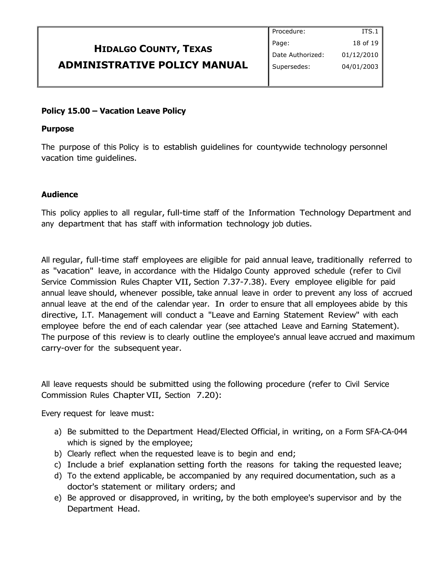| <b>HIDALGO COUNTY, TEXAS</b>        |  |
|-------------------------------------|--|
| <b>ADMINISTRATIVE POLICY MANUAL</b> |  |

#### Procedure: Page: Date Authorized: Supersedes: ITS.1 18 of 19 01/12/2010 04/01/2003

#### **Policy 15.00 – Vacation Leave Policy**

#### **Purpose**

The purpose of this Policy is to establish guidelines for countywide technology personnel vacation time guidelines.

#### **Audience**

This policy applies to all regular, full-time staff of the Information Technology Department and any department that has staff with information technology job duties.

All regular, full-time staff employees are eligible for paid annual leave, traditionally referred to as "vacation" leave, in accordance with the Hidalgo County approved schedule (refer to Civil Service Commission Rules Chapter VII, Section 7.37-7.38). Every employee eligible for paid annual leave should, whenever possible, take annual leave in order to prevent any loss of accrued annual leave at the end of the calendar year. In order to ensure that all employees abide by this directive, I.T. Management will conduct a "Leave and Earning Statement Review" with each employee before the end of each calendar year (see attached Leave and Earning Statement). The purpose of this review is to clearly outline the employee's annual leave accrued and maximum carry-over for the subsequent year.

All leave requests should be submitted using the following procedure (refer to Civil Service Commission Rules Chapter VII, Section 7.20):

Every request for leave must:

- a) Be submitted to the Department Head/Elected Official, in writing, on a Form SFA-CA-044 which is signed by the employee;
- b) Clearly reflect when the requested leave is to begin and end;
- c) Include a brief explanation setting forth the reasons for taking the requested leave;
- d) To the extend applicable, be accompanied by any required documentation, such as a doctor's statement or military orders; and
- e) Be approved or disapproved, in writing, by the both employee's supervisor and by the Department Head.